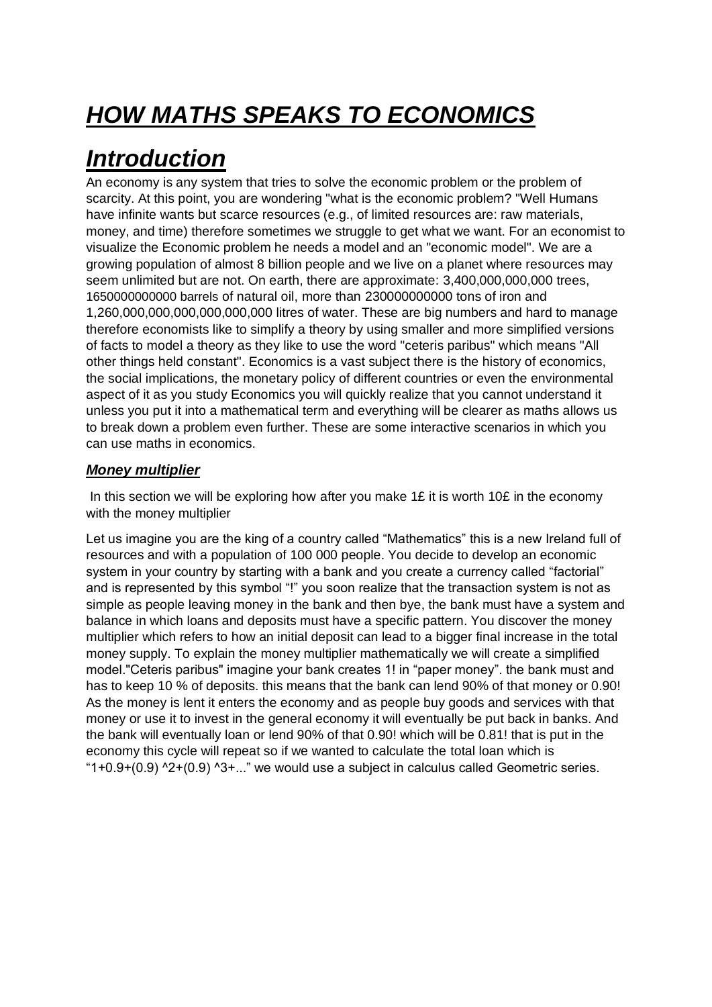# *HOW MATHS SPEAKS TO ECONOMICS*

### *Introduction*

An economy is any system that tries to solve the economic problem or the problem of scarcity. At this point, you are wondering "what is the economic problem? "Well Humans have infinite wants but scarce resources (e.g., of limited resources are: raw materials, money, and time) therefore sometimes we struggle to get what we want. For an economist to visualize the Economic problem he needs a model and an "economic model". We are a growing population of almost 8 billion people and we live on a planet where resources may seem unlimited but are not. On earth, there are approximate: 3,400,000,000,000 trees, 1650000000000 barrels of natural oil, more than 230000000000 tons of iron and 1,260,000,000,000,000,000,000 litres of water. These are big numbers and hard to manage therefore economists like to simplify a theory by using smaller and more simplified versions of facts to model a theory as they like to use the word "ceteris paribus" which means "All other things held constant". Economics is a vast subject there is the history of economics, the social implications, the monetary policy of different countries or even the environmental aspect of it as you study Economics you will quickly realize that you cannot understand it unless you put it into a mathematical term and everything will be clearer as maths allows us to break down a problem even further. These are some interactive scenarios in which you can use maths in economics.

#### *Money multiplier*

In this section we will be exploring how after you make 1£ it is worth 10£ in the economy with the money multiplier

Let us imagine you are the king of a country called "Mathematics" this is a new Ireland full of resources and with a population of 100 000 people. You decide to develop an economic system in your country by starting with a bank and you create a currency called "factorial" and is represented by this symbol "!" you soon realize that the transaction system is not as simple as people leaving money in the bank and then bye, the bank must have a system and balance in which loans and deposits must have a specific pattern. You discover the money multiplier which refers to how an initial deposit can lead to a bigger final increase in the total money supply. To explain the money multiplier mathematically we will create a simplified model."Ceteris paribus" imagine your bank creates 1! in "paper money". the bank must and has to keep 10 % of deposits. this means that the bank can lend 90% of that money or 0.90! As the money is lent it enters the economy and as people buy goods and services with that money or use it to invest in the general economy it will eventually be put back in banks. And the bank will eventually loan or lend 90% of that 0.90! which will be 0.81! that is put in the economy this cycle will repeat so if we wanted to calculate the total loan which is " $1+0.9+(0.9)$  ^2+(0.9) ^3+..." we would use a subject in calculus called Geometric series.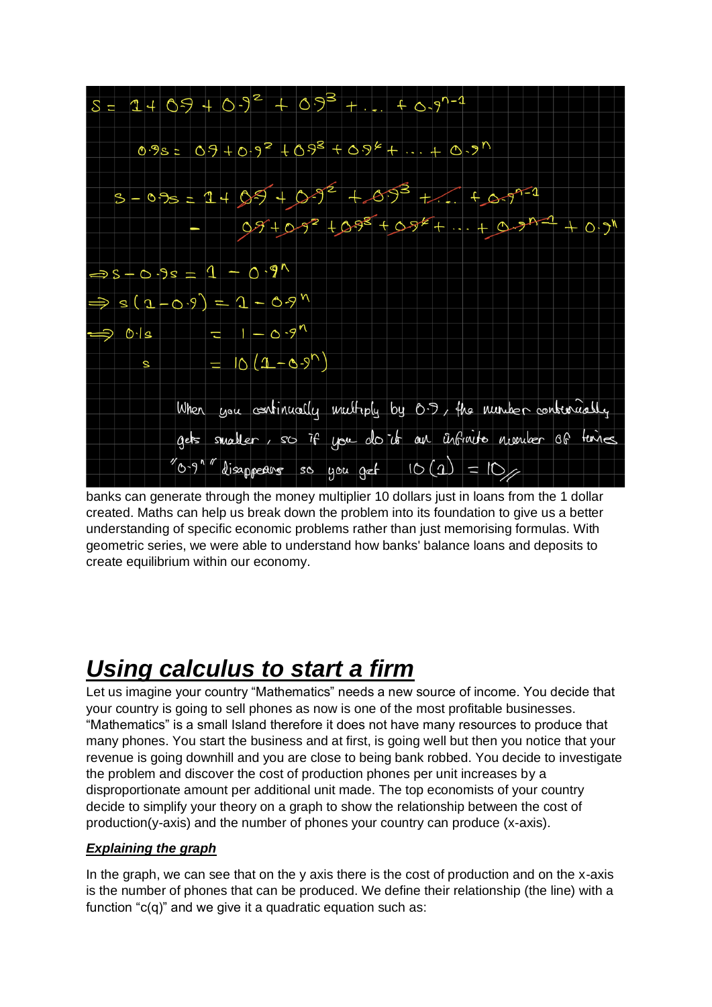

banks can generate through the money multiplier 10 dollars just in loans from the 1 dollar created. Maths can help us break down the problem into its foundation to give us a better understanding of specific economic problems rather than just memorising formulas. With geometric series, we were able to understand how banks' balance loans and deposits to create equilibrium within our economy.

### *Using calculus to start a firm*

Let us imagine your country "Mathematics" needs a new source of income. You decide that your country is going to sell phones as now is one of the most profitable businesses. "Mathematics" is a small Island therefore it does not have many resources to produce that many phones. You start the business and at first, is going well but then you notice that your revenue is going downhill and you are close to being bank robbed. You decide to investigate the problem and discover the cost of production phones per unit increases by a disproportionate amount per additional unit made. The top economists of your country decide to simplify your theory on a graph to show the relationship between the cost of  $production(y-axis)$  and the number of phones your country can produce  $(x-axis)$ .

#### *Explaining the graph*

In the graph, we can see that on the y axis there is the cost of production and on the x-axis is the number of phones that can be produced. We define their relationship (the line) with a function " $c(q)$ " and we give it a quadratic equation such as: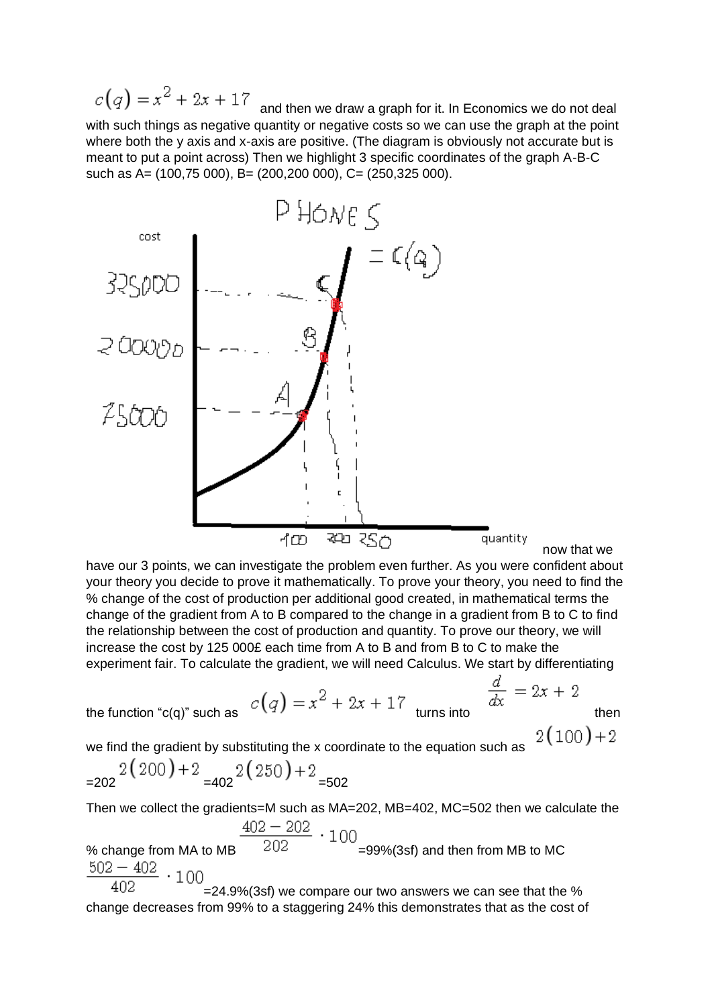$c(q) = x^2 + 2x + 17$ and then we draw a graph for it. In Economics we do not deal with such things as negative quantity or negative costs so we can use the graph at the point where both the y axis and x-axis are positive. (The diagram is obviously not accurate but is meant to put a point across) Then we highlight 3 specific coordinates of the graph A-B-C such as A= (100,75 000), B= (200,200 000), C= (250,325 000).



have our 3 points, we can investigate the problem even further. As you were confident about your theory you decide to prove it mathematically. To prove your theory, you need to find the % change of the cost of production per additional good created, in mathematical terms the change of the gradient from A to B compared to the change in a gradient from B to C to find the relationship between the cost of production and quantity. To prove our theory, we will increase the cost by 125 000£ each time from A to B and from B to C to make the experiment fair. To calculate the gradient, we will need Calculus. We start by differentiating

the function "c(q)" such as 
$$
C
$$

the function "c(q)" such as 
$$
c(q) = x^2 + 2x + 17
$$
 turns into then

$$
\frac{d}{dx} = 2x + 2
$$

 $2(100)+2$ 

we find the gradient by substituting the x coordinate to the equation such as

$$
=202 \frac{2(200) + 2}{2} = 402 \frac{2(250) + 2}{2} = 502
$$

Then we collect the gradients=M such as MA=202, MB=402, MC=502 then we calculate the

% change from MA to MB  $\frac{402 - 202}{202} \cdot 100$  =99%(3sf) and then from MB to MC  $502 - 402$  $\cdot$ 100 402

=24.9%(3sf) we compare our two answers we can see that the % change decreases from 99% to a staggering 24% this demonstrates that as the cost of